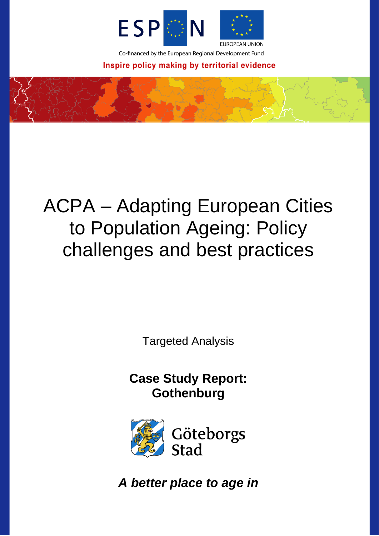

Co-financed by the European Regional Development Fund

Inspire policy making by territorial evidence

# ACPA – Adapting European Cities to Population Ageing: Policy challenges and best practices

Targeted Analysis

**Case Study Report: Gothenburg**



Göteborgs Stad

*A better place to age in*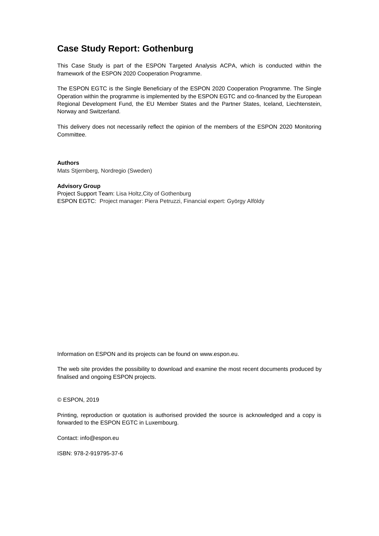# **Case Study Report: Gothenburg**

This Case Study is part of the ESPON Targeted Analysis ACPA, which is conducted within the framework of the ESPON 2020 Cooperation Programme.

The ESPON EGTC is the Single Beneficiary of the ESPON 2020 Cooperation Programme. The Single Operation within the programme is implemented by the ESPON EGTC and co-financed by the European Regional Development Fund, the EU Member States and the Partner States, Iceland, Liechtenstein, Norway and Switzerland.

This delivery does not necessarily reflect the opinion of the members of the ESPON 2020 Monitoring Committee.

**Authors** Mats Stjernberg, Nordregio (Sweden)

#### **Advisory Group**

Project Support Team: Lisa Holtz,City of Gothenburg ESPON EGTC: Project manager: Piera Petruzzi, Financial expert: György Alföldy

Information on ESPON and its projects can be found on [www.espon.eu.](https://www.espon.eu/)

The web site provides the possibility to download and examine the most recent documents produced by finalised and ongoing ESPON projects.

#### © ESPON, 2019

Printing, reproduction or quotation is authorised provided the source is acknowledged and a copy is forwarded to the ESPON EGTC in Luxembourg.

Contact: [info@espon.eu](mailto:info@espon.eu)

ISBN: 978-2-919795-37-6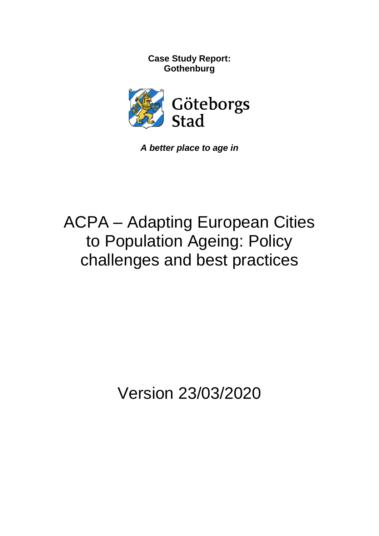**Case Study Report: Gothenburg**



*A better place to age in*

# ACPA – Adapting European Cities to Population Ageing: Policy challenges and best practices

Version 23/03/2020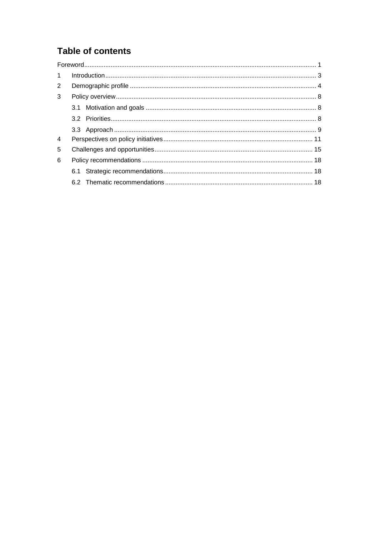# **Table of contents**

| $\mathbf{1}$   |  |  |
|----------------|--|--|
| 2              |  |  |
| 3              |  |  |
|                |  |  |
|                |  |  |
|                |  |  |
| $\overline{4}$ |  |  |
| 5              |  |  |
| 6              |  |  |
|                |  |  |
|                |  |  |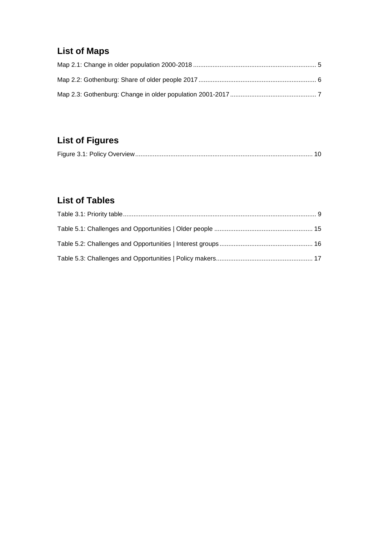# **List of Maps**

# **List of Figures**

|--|

# **List of Tables**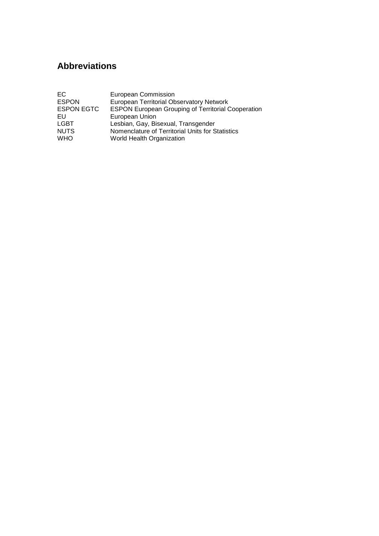# **Abbreviations**

| EC.               | European Commission                                       |
|-------------------|-----------------------------------------------------------|
| <b>ESPON</b>      | <b>European Territorial Observatory Network</b>           |
| <b>ESPON EGTC</b> | <b>ESPON European Grouping of Territorial Cooperation</b> |
| EU                | European Union                                            |
| <b>LGBT</b>       | Lesbian, Gay, Bisexual, Transgender                       |
| <b>NUTS</b>       | Nomenclature of Territorial Units for Statistics          |
| <b>WHO</b>        | World Health Organization                                 |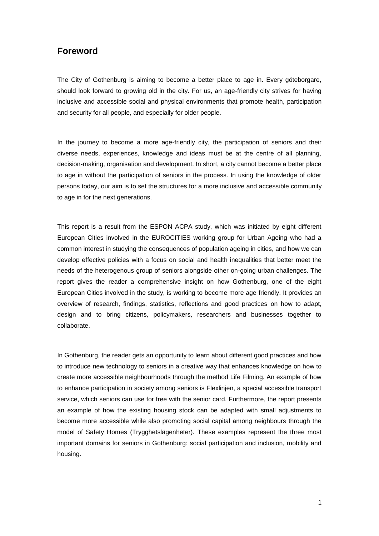## <span id="page-6-0"></span>**Foreword**

The City of Gothenburg is aiming to become a better place to age in. Every göteborgare, should look forward to growing old in the city. For us, an age-friendly city strives for having inclusive and accessible social and physical environments that promote health, participation and security for all people, and especially for older people.

In the journey to become a more age-friendly city, the participation of seniors and their diverse needs, experiences, knowledge and ideas must be at the centre of all planning, decision-making, organisation and development. In short, a city cannot become a better place to age in without the participation of seniors in the process. In using the knowledge of older persons today, our aim is to set the structures for a more inclusive and accessible community to age in for the next generations.

This report is a result from the ESPON ACPA study, which was initiated by eight different European Cities involved in the EUROCITIES working group for Urban Ageing who had a common interest in studying the consequences of population ageing in cities, and how we can develop effective policies with a focus on social and health inequalities that better meet the needs of the heterogenous group of seniors alongside other on-going urban challenges. The report gives the reader a comprehensive insight on how Gothenburg, one of the eight European Cities involved in the study, is working to become more age friendly. It provides an overview of research, findings, statistics, reflections and good practices on how to adapt, design and to bring citizens, policymakers, researchers and businesses together to collaborate.

In Gothenburg, the reader gets an opportunity to learn about different good practices and how to introduce new technology to seniors in a creative way that enhances knowledge on how to create more accessible neighbourhoods through the method Life Filming. An example of how to enhance participation in society among seniors is Flexlinjen, a special accessible transport service, which seniors can use for free with the senior card. Furthermore, the report presents an example of how the existing housing stock can be adapted with small adjustments to become more accessible while also promoting social capital among neighbours through the model of Safety Homes (Trygghetslägenheter). These examples represent the three most important domains for seniors in Gothenburg: social participation and inclusion, mobility and housing.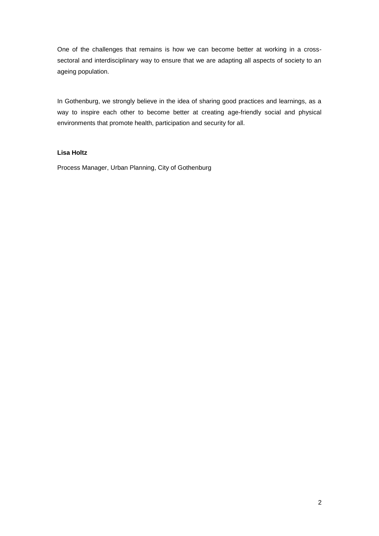One of the challenges that remains is how we can become better at working in a crosssectoral and interdisciplinary way to ensure that we are adapting all aspects of society to an ageing population.

In Gothenburg, we strongly believe in the idea of sharing good practices and learnings, as a way to inspire each other to become better at creating age-friendly social and physical environments that promote health, participation and security for all.

#### **Lisa Holtz**

Process Manager, Urban Planning, City of Gothenburg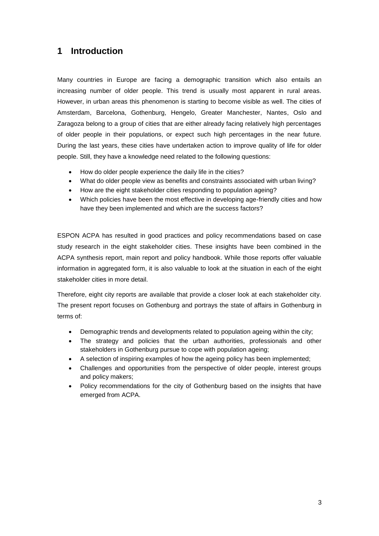# <span id="page-8-0"></span>**1 Introduction**

Many countries in Europe are facing a demographic transition which also entails an increasing number of older people. This trend is usually most apparent in rural areas. However, in urban areas this phenomenon is starting to become visible as well. The cities of Amsterdam, Barcelona, Gothenburg, Hengelo, Greater Manchester, Nantes, Oslo and Zaragoza belong to a group of cities that are either already facing relatively high percentages of older people in their populations, or expect such high percentages in the near future. During the last years, these cities have undertaken action to improve quality of life for older people. Still, they have a knowledge need related to the following questions:

- How do older people experience the daily life in the cities?
- What do older people view as benefits and constraints associated with urban living?
- How are the eight stakeholder cities responding to population ageing?
- Which policies have been the most effective in developing age-friendly cities and how have they been implemented and which are the success factors?

ESPON ACPA has resulted in good practices and policy recommendations based on case study research in the eight stakeholder cities. These insights have been combined in the ACPA synthesis report, main report and policy handbook. While those reports offer valuable information in aggregated form, it is also valuable to look at the situation in each of the eight stakeholder cities in more detail.

Therefore, eight city reports are available that provide a closer look at each stakeholder city. The present report focuses on Gothenburg and portrays the state of affairs in Gothenburg in terms of:

- Demographic trends and developments related to population ageing within the city;
- The strategy and policies that the urban authorities, professionals and other stakeholders in Gothenburg pursue to cope with population ageing;
- A selection of inspiring examples of how the ageing policy has been implemented;
- Challenges and opportunities from the perspective of older people, interest groups and policy makers;
- Policy recommendations for the city of Gothenburg based on the insights that have emerged from ACPA.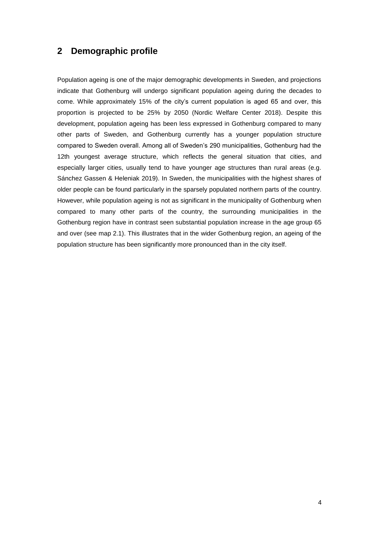## <span id="page-9-0"></span>**2 Demographic profile**

Population ageing is one of the major demographic developments in Sweden, and projections indicate that Gothenburg will undergo significant population ageing during the decades to come. While approximately 15% of the city's current population is aged 65 and over, this proportion is projected to be 25% by 2050 (Nordic Welfare Center 2018). Despite this development, population ageing has been less expressed in Gothenburg compared to many other parts of Sweden, and Gothenburg currently has a younger population structure compared to Sweden overall. Among all of Sweden's 290 municipalities, Gothenburg had the 12th youngest average structure, which reflects the general situation that cities, and especially larger cities, usually tend to have younger age structures than rural areas (e.g. Sánchez Gassen & Heleniak 2019). In Sweden, the municipalities with the highest shares of older people can be found particularly in the sparsely populated northern parts of the country. However, while population ageing is not as significant in the municipality of Gothenburg when compared to many other parts of the country, the surrounding municipalities in the Gothenburg region have in contrast seen substantial population increase in the age group 65 and over (see map 2.1). This illustrates that in the wider Gothenburg region, an ageing of the population structure has been significantly more pronounced than in the city itself.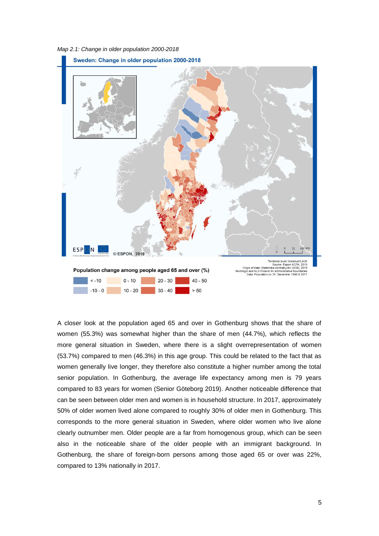<span id="page-10-0"></span>*Map 2.1: Change in older population 2000-2018*



A closer look at the population aged 65 and over in Gothenburg shows that the share of women (55.3%) was somewhat higher than the share of men (44.7%), which reflects the more general situation in Sweden, where there is a slight overrepresentation of women (53.7%) compared to men (46.3%) in this age group. This could be related to the fact that as women generally live longer, they therefore also constitute a higher number among the total senior population. In Gothenburg, the average life expectancy among men is 79 years compared to 83 years for women (Senior Göteborg 2019). Another noticeable difference that can be seen between older men and women is in household structure. In 2017, approximately 50% of older women lived alone compared to roughly 30% of older men in Gothenburg. This corresponds to the more general situation in Sweden, where older women who live alone clearly outnumber men. Older people are a far from homogenous group, which can be seen also in the noticeable share of the older people with an immigrant background. In Gothenburg, the share of foreign-born persons among those aged 65 or over was 22%, compared to 13% nationally in 2017.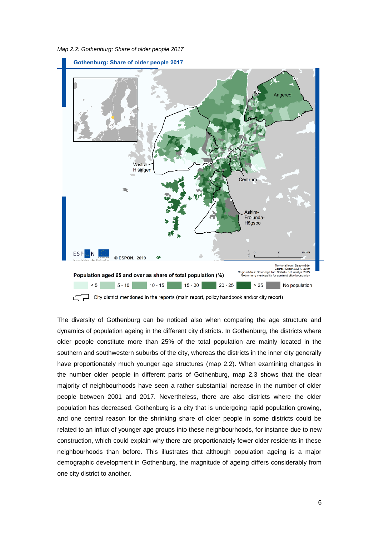<span id="page-11-0"></span>*Map 2.2: Gothenburg: Share of older people 2017*



 $\exists$  City district mentioned in the reports (main report, policy handbook and/or city report)

The diversity of Gothenburg can be noticed also when comparing the age structure and dynamics of population ageing in the different city districts. In Gothenburg, the districts where older people constitute more than 25% of the total population are mainly located in the southern and southwestern suburbs of the city, whereas the districts in the inner city generally have proportionately much younger age structures (map 2.2). When examining changes in the number older people in different parts of Gothenburg, map 2.3 shows that the clear majority of neighbourhoods have seen a rather substantial increase in the number of older people between 2001 and 2017. Nevertheless, there are also districts where the older population has decreased. Gothenburg is a city that is undergoing rapid population growing, and one central reason for the shrinking share of older people in some districts could be related to an influx of younger age groups into these neighbourhoods, for instance due to new construction, which could explain why there are proportionately fewer older residents in these neighbourhoods than before. This illustrates that although population ageing is a major demographic development in Gothenburg, the magnitude of ageing differs considerably from one city district to another.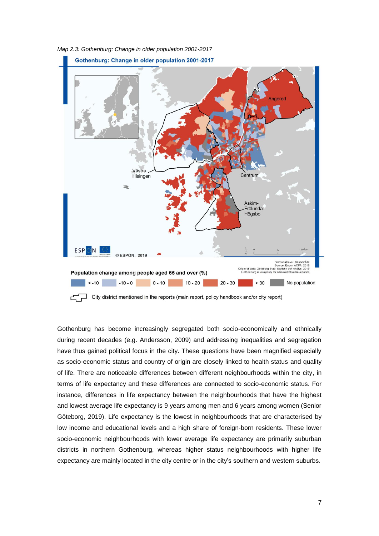

<span id="page-12-0"></span>*Map 2.3: Gothenburg: Change in older population 2001-2017*

 $\Box$  City district mentioned in the reports (main report, policy handbook and/or city report)

Gothenburg has become increasingly segregated both socio-economically and ethnically during recent decades (e.g. Andersson, 2009) and addressing inequalities and segregation have thus gained political focus in the city. These questions have been magnified especially as socio-economic status and country of origin are closely linked to health status and quality of life. There are noticeable differences between different neighbourhoods within the city, in terms of life expectancy and these differences are connected to socio-economic status. For instance, differences in life expectancy between the neighbourhoods that have the highest and lowest average life expectancy is 9 years among men and 6 years among women (Senior Göteborg, 2019). Life expectancy is the lowest in neighbourhoods that are characterised by low income and educational levels and a high share of foreign-born residents. These lower socio-economic neighbourhoods with lower average life expectancy are primarily suburban districts in northern Gothenburg, whereas higher status neighbourhoods with higher life expectancy are mainly located in the city centre or in the city's southern and western suburbs.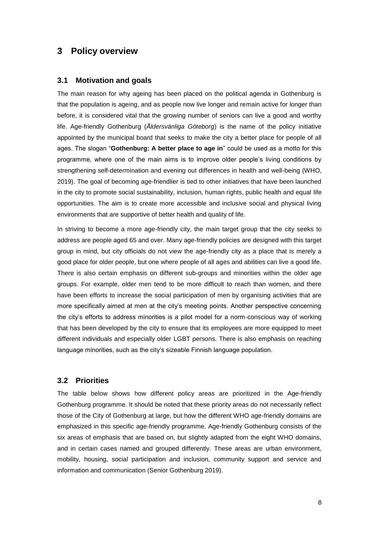## <span id="page-13-0"></span>**3 Policy overview**

#### <span id="page-13-1"></span>**3.1 Motivation and goals**

The main reason for why ageing has been placed on the political agenda in Gothenburg is that the population is ageing, and as people now live longer and remain active for longer than before, it is considered vital that the growing number of seniors can live a good and worthy life. Age-friendly Gothenburg (*Åldersvänliga Göteborg*) is the name of the policy initiative appointed by the municipal board that seeks to make the city a better place for people of all ages. The slogan "**Gothenburg: A better place to age in**" could be used as a motto for this programme, where one of the main aims is to improve older people's living conditions by strengthening self-determination and evening out differences in health and well-being (WHO, 2019). The goal of becoming age-friendlier is tied to other initiatives that have been launched in the city to promote social sustainability, inclusion, human rights, public health and equal life opportunities. The aim is to create more accessible and inclusive social and physical living environments that are supportive of better health and quality of life.

In striving to become a more age-friendly city, the main target group that the city seeks to address are people aged 65 and over. Many age-friendly policies are designed with this target group in mind, but city officials do not view the age-friendly city as a place that is merely a good place for older people, but one where people of all ages and abilities can live a good life. There is also certain emphasis on different sub-groups and minorities within the older age groups. For example, older men tend to be more difficult to reach than women, and there have been efforts to increase the social participation of men by organising activities that are more specifically aimed at men at the city's meeting points. Another perspective concerning the city's efforts to address minorities is a pilot model for a norm-conscious way of working that has been developed by the city to ensure that its employees are more equipped to meet different individuals and especially older LGBT persons. There is also emphasis on reaching language minorities, such as the city's sizeable Finnish language population.

#### <span id="page-13-2"></span>**3.2 Priorities**

The table below shows how different policy areas are prioritized in the Age-friendly Gothenburg programme. It should be noted that these priority areas do not necessarily reflect those of the City of Gothenburg at large, but how the different WHO age-friendly domains are emphasized in this specific age-friendly programme. Age-friendly Gothenburg consists of the six areas of emphasis that are based on, but slightly adapted from the eight WHO domains, and in certain cases named and grouped differently. These areas are urban environment, mobility, housing, social participation and inclusion, community support and service and information and communication (Senior Gothenburg 2019).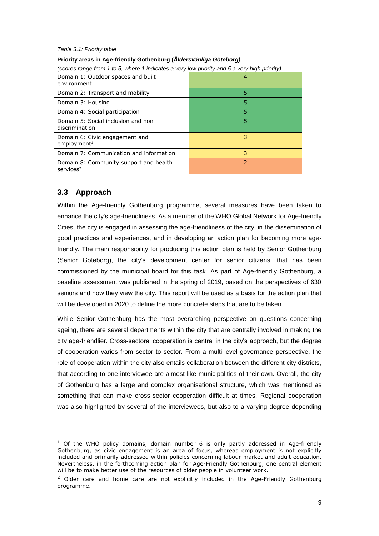<span id="page-14-1"></span>

|  |  | Table 3.1: Priority table |  |
|--|--|---------------------------|--|
|--|--|---------------------------|--|

| Priority areas in Age-friendly Gothenburg (Åldersvänliga Göteborg)<br>(scores range from 1 to 5, where 1 indicates a very low priority and 5 a very high priority) |                          |  |
|--------------------------------------------------------------------------------------------------------------------------------------------------------------------|--------------------------|--|
| Domain 1: Outdoor spaces and built<br>environment                                                                                                                  |                          |  |
| Domain 2: Transport and mobility                                                                                                                                   | 5                        |  |
| Domain 3: Housing                                                                                                                                                  | 5                        |  |
| Domain 4: Social participation                                                                                                                                     | 5                        |  |
| Domain 5: Social inclusion and non-<br>discrimination                                                                                                              | 5                        |  |
| Domain 6: Civic engagement and<br>embovment <sup>1</sup>                                                                                                           | 3                        |  |
| Domain 7: Communication and information                                                                                                                            | 3                        |  |
| Domain 8: Community support and health<br>$s$ ervices <sup>2</sup>                                                                                                 | $\overline{\phantom{a}}$ |  |

### <span id="page-14-0"></span>**3.3 Approach**

1

Within the Age-friendly Gothenburg programme, several measures have been taken to enhance the city's age-friendliness. As a member of the WHO Global Network for Age-friendly Cities, the city is engaged in assessing the age-friendliness of the city, in the dissemination of good practices and experiences, and in developing an action plan for becoming more agefriendly. The main responsibility for producing this action plan is held by Senior Gothenburg (Senior Göteborg), the city's development center for senior citizens, that has been commissioned by the municipal board for this task. As part of Age-friendly Gothenburg, a baseline assessment was published in the spring of 2019, based on the perspectives of 630 seniors and how they view the city. This report will be used as a basis for the action plan that will be developed in 2020 to define the more concrete steps that are to be taken.

While Senior Gothenburg has the most overarching perspective on questions concerning ageing, there are several departments within the city that are centrally involved in making the city age-friendlier. Cross-sectoral cooperation is central in the city's approach, but the degree of cooperation varies from sector to sector. From a multi-level governance perspective, the role of cooperation within the city also entails collaboration between the different city districts, that according to one interviewee are almost like municipalities of their own. Overall, the city of Gothenburg has a large and complex organisational structure, which was mentioned as something that can make cross-sector cooperation difficult at times. Regional cooperation was also highlighted by several of the interviewees, but also to a varying degree depending

 $<sup>1</sup>$  Of the WHO policy domains, domain number 6 is only partly addressed in Age-friendly</sup> Gothenburg, as civic engagement is an area of focus, whereas employment is not explicitly included and primarily addressed within policies concerning labour market and adult education. Nevertheless, in the forthcoming action plan for Age-Friendly Gothenburg, one central element will be to make better use of the resources of older people in volunteer work.

<sup>&</sup>lt;sup>2</sup> Older care and home care are not explicitly included in the Age-Friendly Gothenburg programme.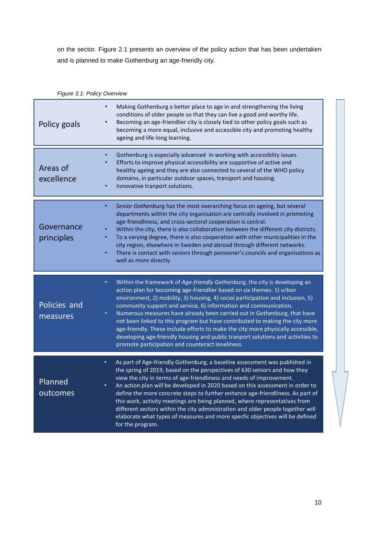on the sector. Figure 2.1 presents an overview of the policy action that has been undertaken and is planned to make Gothenburg an age-friendly city.

<span id="page-15-0"></span>

| Figure 3.1: Policy Overview |                                                                                                                                                                                                                                                                                                                                                                                                                                                                                                                                                                                                                                                                                                                     |  |  |
|-----------------------------|---------------------------------------------------------------------------------------------------------------------------------------------------------------------------------------------------------------------------------------------------------------------------------------------------------------------------------------------------------------------------------------------------------------------------------------------------------------------------------------------------------------------------------------------------------------------------------------------------------------------------------------------------------------------------------------------------------------------|--|--|
| Policy goals                | Making Gothenburg a better place to age in and strengthening the living<br>$\bullet$<br>conditions of older people so that they can live a good and worthy life.<br>Becoming an age-friendlier city is closely tied to other policy goals such as<br>becoming a more equal, inclusive and accessible city and promoting healthy<br>ageing and life-long learning.                                                                                                                                                                                                                                                                                                                                                   |  |  |
| Areas of<br>excellence      | Gothenburg is especially advanced in working with accessiblity issues.<br>$\bullet$<br>Efforts to improve physical accessibility are supportive of active and<br>healthy ageing and they are also connected to several of the WHO policy<br>domains, in particular outdoor spaces, transport and housing.<br>Innovative tranport solutions.                                                                                                                                                                                                                                                                                                                                                                         |  |  |
| Governance<br>principles    | Senior Gothenburg has the most overarching focus on ageing, but several<br>٠<br>departments within the city organisation are centrally involved in promoting<br>age-friendliness, and cross-sectoral cooperation is central.<br>Within the city, there is also collaboration between the different city districts.<br>٠<br>To a varying degree, there is also cooperation with other municipalities in the<br>٠<br>city region, elsewhere in Sweden and abroad through different networks.<br>There is contact with seniors through pensioner's councils and organisations as<br>٠<br>well as more directly.                                                                                                        |  |  |
| Policies and<br>measures    | Within the framework of Age-friendly Gothenburg, the city is developing an<br>٠<br>action plan for becoming age-friendlier based on six themes: 1) urban<br>environment, 2) mobility, 3) housing, 4) social participation and inclusion, 5)<br>community support and service, 6) information and communication.<br>Numerous measures have already been carried out in Gothenburg, that have<br>$\bullet$<br>not been linked to this program but have contributed to making the city more<br>age-friendly. These include efforts to make the city more physically accessible,<br>developing age-friendly housing and public tranport solutions and activities to<br>promote participation and counteract loneliness. |  |  |
| Planned<br>outcomes         | As part of Age-friendly Gothenburg, a baseline assessment was published in<br>the spring of 2019, based on the perspectives of 630 seniors and how they<br>view the city in terms of age-friendliness and needs of improvement.<br>An action plan will be developed in 2020 based on this assessment in order to<br>٠<br>define the more concrete steps to further enhance age-friendliness. As part of<br>this work, activity meetings are being planned, where representatives from<br>different sectors within the city administration and older people together will<br>elaborate what types of measures and more specfic objectives will be defined<br>for the program.                                        |  |  |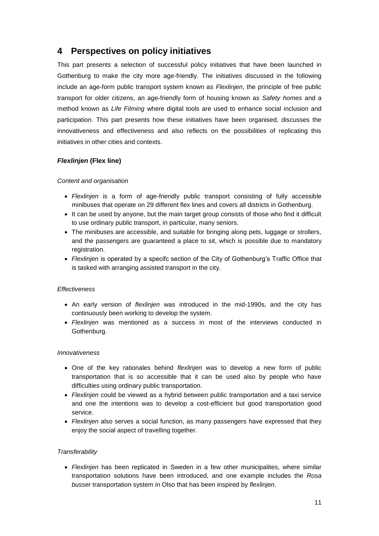# <span id="page-16-0"></span>**4 Perspectives on policy initiatives**

This part presents a selection of successful policy initiatives that have been launched in Gothenburg to make the city more age-friendly. The initiatives discussed in the following include an age-form public transport system known as *Flexlinjen*, the principle of free public transport for older citizens, an age-friendly form of housing known as *Safety homes* and a method known as *Life Filming* where digital tools are used to enhance social inclusion and participation. This part presents how these initiatives have been organised, discusses the innovativeness and effectiveness and also reflects on the possibilities of replicating this initiatives in other cities and contexts.

#### *Flexlinjen* **(Flex line)**

#### *Content and organisation*

- *Flexlinjen* is a form of age-friendly public transport consisting of fully accessible minibuses that operate on 29 different flex lines and covers all districts in Gothenburg.
- It can be used by anyone, but the main target group consists of those who find it difficult to use ordinary public transport, in particular, many seniors.
- The minibuses are accessible, and suitable for bringing along pets, luggage or strollers, and the passengers are guaranteed a place to sit, which is possible due to mandatory registration.
- *Flexlinjen* is operated by a specifc section of the City of Gothenburg's Traffic Office that is tasked with arranging assisted transport in the city.

#### *Effectiveness*

- An early version of *flexlinjen* was introduced in the mid-1990s, and the city has continuously been working to develop the system.
- *Flexlinjen* was mentioned as a success in most of the interviews conducted in Gothenburg.

#### *Innovativeness*

- One of the key rationales behind *flexlinjen* was to develop a new form of public transportation that is so accessible that it can be used also by people who have difficulties using ordinary public transportation.
- *Flexlinjen* could be viewed as a hybrid between public transportation and a taxi service and one the intentions was to develop a cost-efficient but good transportation good service.
- *Flexlinjen* also serves a social function, as many passengers have expressed that they enjoy the social aspect of travelling together.

#### *Transferability*

• *Flexlinjen* has been replicated in Sweden in a few other municipalites, where similar transportation solutions have been introduced, and one example includes the *Rosa busser* transportation system in Olso that has been inspired by *flexlinjen*.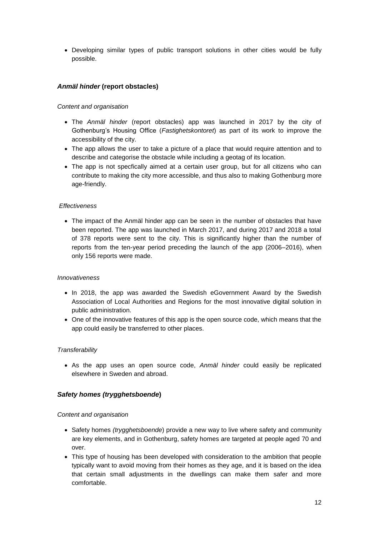• Developing similar types of public transport solutions in other cities would be fully possible.

#### *Anmäl hinder* **(report obstacles)**

#### *Content and organisation*

- The *Anmäl hinder* (report obstacles) app was launched in 2017 by the city of Gothenburg's Housing Office (*Fastighetskontoret*) as part of its work to improve the accessibility of the city.
- The app allows the user to take a picture of a place that would require attention and to describe and categorise the obstacle while including a geotag of its location.
- The app is not specfically aimed at a certain user group, but for all citizens who can contribute to making the city more accessible, and thus also to making Gothenburg more age-friendly.

#### *Effectiveness*

• The impact of the Anmäl hinder app can be seen in the number of obstacles that have been reported. The app was launched in March 2017, and during 2017 and 2018 a total of 378 reports were sent to the city. This is significantly higher than the number of reports from the ten-year period preceding the launch of the app (2006–2016), when only 156 reports were made.

#### *Innovativeness*

- In 2018, the app was awarded the Swedish eGovernment Award by the Swedish Association of Local Authorities and Regions for the most innovative digital solution in public administration.
- One of the innovative features of this app is the open source code, which means that the app could easily be transferred to other places.

#### *Transferability*

• As the app uses an open source code, *Anmäl hinder* could easily be replicated elsewhere in Sweden and abroad.

#### *Safety homes (trygghetsboende***)**

#### *Content and organisation*

- Safety homes *(trygghetsboende*) provide a new way to live where safety and community are key elements, and in Gothenburg, safety homes are targeted at people aged 70 and over.
- This type of housing has been developed with consideration to the ambition that people typically want to avoid moving from their homes as they age, and it is based on the idea that certain small adjustments in the dwellings can make them safer and more comfortable.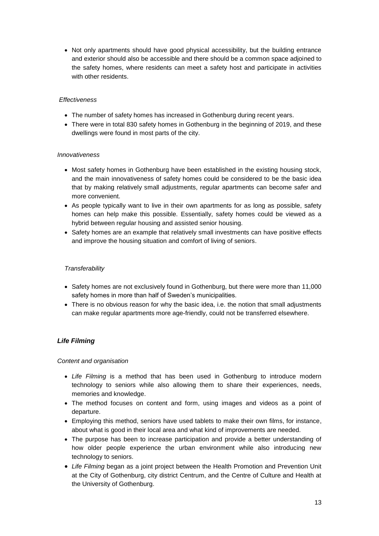• Not only apartments should have good physical accessibility, but the building entrance and exterior should also be accessible and there should be a common space adjoined to the safety homes, where residents can meet a safety host and participate in activities with other residents.

#### *Effectiveness*

- The number of safety homes has increased in Gothenburg during recent years.
- There were in total 830 safety homes in Gothenburg in the beginning of 2019, and these dwellings were found in most parts of the city.

#### *Innovativeness*

- Most safety homes in Gothenburg have been established in the existing housing stock, and the main innovativeness of safety homes could be considered to be the basic idea that by making relatively small adjustments, regular apartments can become safer and more convenient.
- As people typically want to live in their own apartments for as long as possible, safety homes can help make this possible. Essentially, safety homes could be viewed as a hybrid between regular housing and assisted senior housing.
- Safety homes are an example that relatively small investments can have positive effects and improve the housing situation and comfort of living of seniors.

#### *Transferability*

- Safety homes are not exclusively found in Gothenburg, but there were more than 11,000 safety homes in more than half of Sweden's municipalities.
- There is no obvious reason for why the basic idea, i.e. the notion that small adjustments can make regular apartments more age-friendly, could not be transferred elsewhere.

#### *Life Filming*

#### *Content and organisation*

- *Life Filming* is a method that has been used in Gothenburg to introduce modern technology to seniors while also allowing them to share their experiences, needs, memories and knowledge.
- The method focuses on content and form, using images and videos as a point of departure.
- Employing this method, seniors have used tablets to make their own films, for instance, about what is good in their local area and what kind of improvements are needed.
- The purpose has been to increase participation and provide a better understanding of how older people experience the urban environment while also introducing new technology to seniors.
- *Life Filming* began as a joint project between the Health Promotion and Prevention Unit at the City of Gothenburg, city district Centrum, and the Centre of Culture and Health at the University of Gothenburg.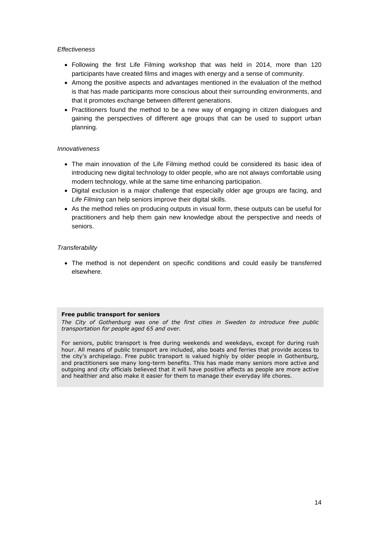#### *Effectiveness*

- Following the first Life Filming workshop that was held in 2014, more than 120 participants have created films and images with energy and a sense of community.
- Among the positive aspects and advantages mentioned in the evaluation of the method is that has made participants more conscious about their surrounding environments, and that it promotes exchange between different generations.
- Practitioners found the method to be a new way of engaging in citizen dialogues and gaining the perspectives of different age groups that can be used to support urban planning.

#### *Innovativeness*

- The main innovation of the Life Filming method could be considered its basic idea of introducing new digital technology to older people, who are not always comfortable using modern technology, while at the same time enhancing participation.
- Digital exclusion is a major challenge that especially older age groups are facing, and *Life Filming* can help seniors improve their digital skills.
- As the method relies on producing outputs in visual form, these outputs can be useful for practitioners and help them gain new knowledge about the perspective and needs of seniors.

#### *Transferability*

• The method is not dependent on specific conditions and could easily be transferred elsewhere.

#### **Free public transport for seniors**

*The City of Gothenburg was one of the first cities in Sweden to introduce free public transportation for people aged 65 and over.* 

For seniors, public transport is free during weekends and weekdays, except for during rush hour. All means of public transport are included, also boats and ferries that provide access to the city's archipelago. Free public transport is valued highly by older people in Gothenburg, and practitioners see many long-term benefits. This has made many seniors more active and outgoing and city officials believed that it will have positive affects as people are more active and healthier and also make it easier for them to manage their everyday life chores.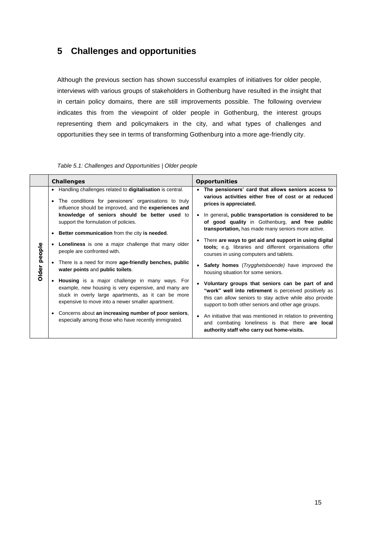# <span id="page-20-0"></span>**5 Challenges and opportunities**

Although the previous section has shown successful examples of initiatives for older people, interviews with various groups of stakeholders in Gothenburg have resulted in the insight that in certain policy domains, there are still improvements possible. The following overview indicates this from the viewpoint of older people in Gothenburg, the interest groups representing them and policymakers in the city, and what types of challenges and opportunities they see in terms of transforming Gothenburg into a more age-friendly city.

<span id="page-20-1"></span>

|              | <b>Challenges</b>                                                                                                                                                                                                    | <b>Opportunities</b>                                                                                                                                                                                                            |
|--------------|----------------------------------------------------------------------------------------------------------------------------------------------------------------------------------------------------------------------|---------------------------------------------------------------------------------------------------------------------------------------------------------------------------------------------------------------------------------|
| Older people | • Handling challenges related to digitalisation is central.<br>The conditions for pensioners' organisations to truly<br>$\bullet$<br>influence should be improved, and the experiences and                           | • The pensioners' card that allows seniors access to<br>various activities either free of cost or at reduced<br>prices is appreciated.                                                                                          |
|              | knowledge of seniors should be better used to<br>support the formulation of policies.<br><b>Better communication</b> from the city is needed.<br>$\bullet$                                                           | • In general, public transportation is considered to be<br>of good quality in Gothenburg, and free public<br>transportation, has made many seniors more active.                                                                 |
|              | • Loneliness is one a major challenge that many older<br>people are confronted with.                                                                                                                                 | • There are ways to get aid and support in using digital<br>tools; e.g. libraries and different organisations offer<br>courses in using computers and tablets.                                                                  |
|              | There is a need for more age-friendly benches, public<br>water points and public toilets.                                                                                                                            | • Safety homes ( <i>Trygghetsboende</i> ) have improved the<br>housing situation for some seniors.                                                                                                                              |
|              | • Housing is a major challenge in many ways. For<br>example, new housing is very expensive, and many are<br>stuck in overly large apartments, as it can be more<br>expensive to move into a newer smaller apartment. | • Voluntary groups that seniors can be part of and<br>"work" well into retirement is perceived positively as<br>this can allow seniors to stay active while also provide<br>support to both other seniors and other age groups. |
|              | Concerns about an increasing number of poor seniors,<br>$\bullet$<br>especially among those who have recently immigrated.                                                                                            | • An initiative that was mentioned in relation to preventing<br>and combating loneliness is that there <b>are local</b><br>authority staff who carry out home-visits.                                                           |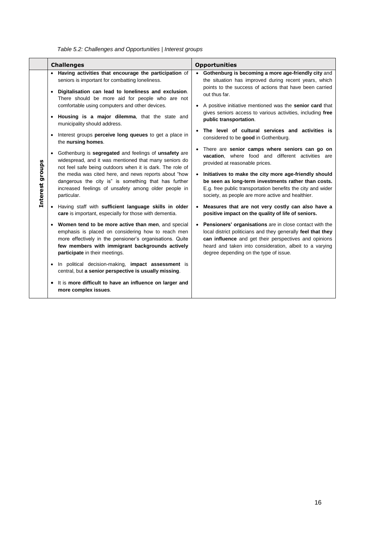<span id="page-21-0"></span>

|                 | <b>Challenges</b>                                                                                                                                                                                                                                                                            | <b>Opportunities</b>                                                                                                                                                                                                                                                                  |  |
|-----------------|----------------------------------------------------------------------------------------------------------------------------------------------------------------------------------------------------------------------------------------------------------------------------------------------|---------------------------------------------------------------------------------------------------------------------------------------------------------------------------------------------------------------------------------------------------------------------------------------|--|
| Interest groups | Having activities that encourage the participation of<br>seniors is important for combatting loneliness.<br>Digitalisation can lead to loneliness and exclusion.<br>$\bullet$<br>There should be more aid for people who are not<br>comfortable using computers and other devices.           | Gothenburg is becoming a more age-friendly city and<br>the situation has improved during recent years, which<br>points to the success of actions that have been carried<br>out thus far.<br>A positive initiative mentioned was the senior card that                                  |  |
|                 | Housing is a major dilemma, that the state and<br>$\bullet$<br>municipality should address.                                                                                                                                                                                                  | gives seniors access to various activities, including free<br>public transportation.                                                                                                                                                                                                  |  |
|                 | Interest groups <b>perceive long queues</b> to get a place in<br>the nursing homes.                                                                                                                                                                                                          | The level of cultural services and activities is<br>considered to be good in Gothenburg.                                                                                                                                                                                              |  |
|                 | Gothenburg is segregated and feelings of unsafety are<br>widespread, and it was mentioned that many seniors do<br>not feel safe being outdoors when it is dark. The role of<br>the media was cited here, and news reports about "how<br>dangerous the city is" is something that has further | There are senior camps where seniors can go on<br><b>vacation</b> . where food and different activities are<br>provided at reasonable prices.<br>Initiatives to make the city more age-friendly should<br>be seen as long-term investments rather than costs.                         |  |
|                 | increased feelings of unsafety among older people in<br>particular.                                                                                                                                                                                                                          | E.g. free public transportation benefits the city and wider<br>society, as people are more active and healthier.                                                                                                                                                                      |  |
|                 | Having staff with sufficient language skills in older<br>care is important, especially for those with dementia.                                                                                                                                                                              | Measures that are not very costly can also have a<br>positive impact on the quality of life of seniors.                                                                                                                                                                               |  |
|                 | Women tend to be more active than men, and special<br>emphasis is placed on considering how to reach men<br>more effectively in the pensioner's organisations. Quite<br>few members with immigrant backgrounds actively<br>participate in their meetings.                                    | Pensioners' organisations are in close contact with the<br>local district politicians and they generally feel that they<br>can influence and get their perspectives and opinions<br>heard and taken into consideration, albeit to a varying<br>degree depending on the type of issue. |  |
|                 | In political decision-making, <b>impact assessment</b> is<br>$\bullet$<br>central, but a senior perspective is usually missing.                                                                                                                                                              |                                                                                                                                                                                                                                                                                       |  |
|                 | It is more difficult to have an influence on larger and<br>$\bullet$<br>more complex issues.                                                                                                                                                                                                 |                                                                                                                                                                                                                                                                                       |  |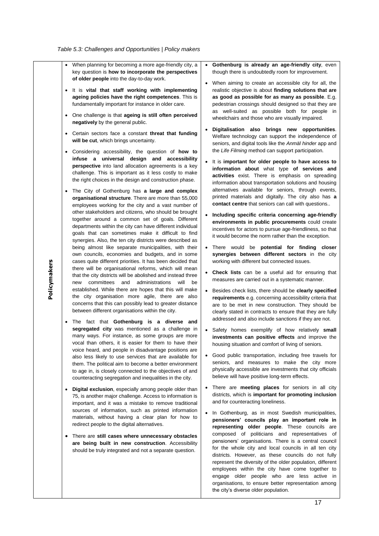- <span id="page-22-0"></span>• When planning for becoming a more age-friendly city, a key question is **how to incorporate the perspectives of older people** into the day-to-day work.
- It is **vital that staff working with implementing ageing policies have the right competences**. This is fundamentally important for instance in older care.
- One challenge is that **ageing is still often perceived negatively** by the general public.
- Certain sectors face a constant **threat that funding will be cut**, which brings uncertainty.
- Considering accessibility, the question of **how to infuse a universal design and accessibility perspective** into land allocation agreements is a key challenge. This is important as it less costly to make the right choices in the design and construction phase.
- The City of Gothenburg has **a large and complex organisational structure**. There are more than 55,000 employees working for the city and a vast number of other stakeholders and citizens, who should be brought together around a common set of goals. Different departments within the city can have different individual goals that can sometimes make it difficult to find synergies. Also, the ten city districts were described as being almost like separate municipalities, with their own councils, economies and budgets, and in some cases quite different priorities. It has been decided that there will be organisational reforms, which will mean that the city districts will be abolished and instead three new committees and administrations will be established. While there are hopes that this will make the city organisation more agile, there are also concerns that this can possibly lead to greater distance between different organisations within the city.
- The fact that **Gothenburg is a diverse and segregated city** was mentioned as a challenge in many ways. For instance, as some groups are more vocal than others, it is easier for them to have their voice heard, and people in disadvantage positions are also less likely to use services that are available for them. The political aim to become a better environment to age in, is closely connected to the objectives of and counteracting segregation and inequalities in the city.
- **Digital exclusion**, especially among people older than 75, is another major challenge. Access to information is important, and it was a mistake to remove traditional sources of information, such as printed information materials, without having a clear plan for how to redirect people to the digital alternatives.
- There are **still cases where unnecessary obstacles are being built in new construction**. Accessibility should be truly integrated and not a separate question.
- **Gothenburg is already an age-friendly city, even** though there is undoubtedly room for improvement.
- When aiming to create an accessible city for all, the realistic objective is about **finding solutions that are as good as possible for as many as possible**. E.g. pedestrian crossings should designed so that they are as well-suited as possible both for people in wheelchairs and those who are visually impaired.
- **Digitalisation also brings new opportunities**. Welfare technology can support the independence of seniors, and digital tools like the *Anmäl hinder* app and the *Life Filming* method can support participation.
- It is **important for older people to have access to information about** what type **of services and activities** exist. There is emphasis on spreading information about transportation solutions and housing alternatives available for seniors, through events, printed materials and digitally. The city also has **a contact centre** that seniors can call with questions..
- **Including specific criteria concerning age-friendly environments in public procurements** could create incentives for actors to pursue age-friendliness, so that it would become the norm rather than the exception.
- There would be **potential for finding closer synergies between different sectors** in the city working with different but connected issues.
- **Check lists** can be a useful aid for ensuring that measures are carried out in a systematic manner.
- Besides check lists, there should be **clearly specified requirements** e.g. concerning accessibility criteria that are to be met in new construction. They should be clearly stated in contracts to ensure that they are fully addressed and also include sanctions if they are not.
- Safety homes exemplify of how relatively **small investments can positive effects** and improve the housing situation and comfort of living of seniors.
- Good public transportation, including free travels for seniors, and measures to make the city more physically accessible are investments that city officials believe will have positive long-term effects.
- There are **meeting places** for seniors in all city districts, which is **important for promoting inclusion** and for counteracting loneliness.
- In Gothenburg, as in most Swedish municipalities, **pensioners' councils play an important role in representing older people**. These councils are composed of politicians and representatives of pensioners' organisations. There is a central council for the whole city and local councils in all ten city districts. However, as these councils do not fully represent the diversity of the older population, different employees within the city have come together to engage older people who are less active in organisations, to ensure better representation among the city's diverse older population.

**Policymakers**

Policymakers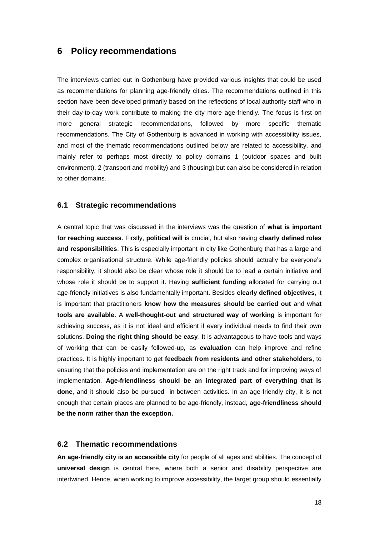### <span id="page-23-0"></span>**6 Policy recommendations**

The interviews carried out in Gothenburg have provided various insights that could be used as recommendations for planning age-friendly cities. The recommendations outlined in this section have been developed primarily based on the reflections of local authority staff who in their day-to-day work contribute to making the city more age-friendly. The focus is first on more general strategic recommendations, followed by more specific thematic recommendations. The City of Gothenburg is advanced in working with accessibility issues, and most of the thematic recommendations outlined below are related to accessibility, and mainly refer to perhaps most directly to policy domains 1 (outdoor spaces and built environment), 2 (transport and mobility) and 3 (housing) but can also be considered in relation to other domains.

#### <span id="page-23-1"></span>**6.1 Strategic recommendations**

A central topic that was discussed in the interviews was the question of **what is important for reaching success**. Firstly, **political will** is crucial, but also having **clearly defined roles and responsibilities**. This is especially important in city like Gothenburg that has a large and complex organisational structure. While age-friendly policies should actually be everyone's responsibility, it should also be clear whose role it should be to lead a certain initiative and whose role it should be to support it. Having **sufficient funding** allocated for carrying out age-friendly initiatives is also fundamentally important. Besides **clearly defined objectives**, it is important that practitioners **know how the measures should be carried out** and **what tools are available.** A **well-thought-out and structured way of working** is important for achieving success, as it is not ideal and efficient if every individual needs to find their own solutions. **Doing the right thing should be easy**. It is advantageous to have tools and ways of working that can be easily followed-up, as **evaluation** can help improve and refine practices. It is highly important to get **feedback from residents and other stakeholders**, to ensuring that the policies and implementation are on the right track and for improving ways of implementation. **Age-friendliness should be an integrated part of everything that is done**, and it should also be pursued in-between activities. In an age-friendly city, it is not enough that certain places are planned to be age-friendly, instead, **age-friendliness should be the norm rather than the exception.** 

#### <span id="page-23-2"></span>**6.2 Thematic recommendations**

**An age-friendly city is an accessible city** for people of all ages and abilities. The concept of **universal design** is central here, where both a senior and disability perspective are intertwined. Hence, when working to improve accessibility, the target group should essentially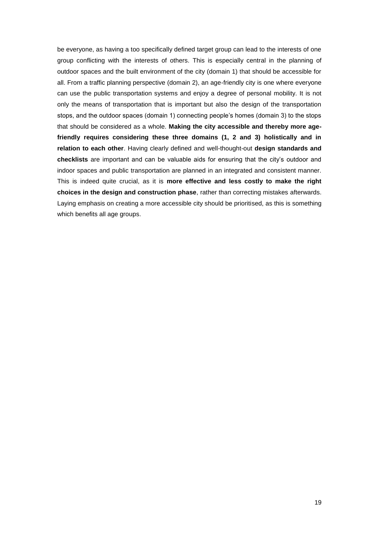be everyone, as having a too specifically defined target group can lead to the interests of one group conflicting with the interests of others. This is especially central in the planning of outdoor spaces and the built environment of the city (domain 1) that should be accessible for all. From a traffic planning perspective (domain 2), an age-friendly city is one where everyone can use the public transportation systems and enjoy a degree of personal mobility. It is not only the means of transportation that is important but also the design of the transportation stops, and the outdoor spaces (domain 1) connecting people's homes (domain 3) to the stops that should be considered as a whole. **Making the city accessible and thereby more agefriendly requires considering these three domains (1, 2 and 3) holistically and in relation to each other**. Having clearly defined and well-thought-out **design standards and checklists** are important and can be valuable aids for ensuring that the city's outdoor and indoor spaces and public transportation are planned in an integrated and consistent manner. This is indeed quite crucial, as it is **more effective and less costly to make the right choices in the design and construction phase**, rather than correcting mistakes afterwards. Laying emphasis on creating a more accessible city should be prioritised, as this is something which benefits all age groups.